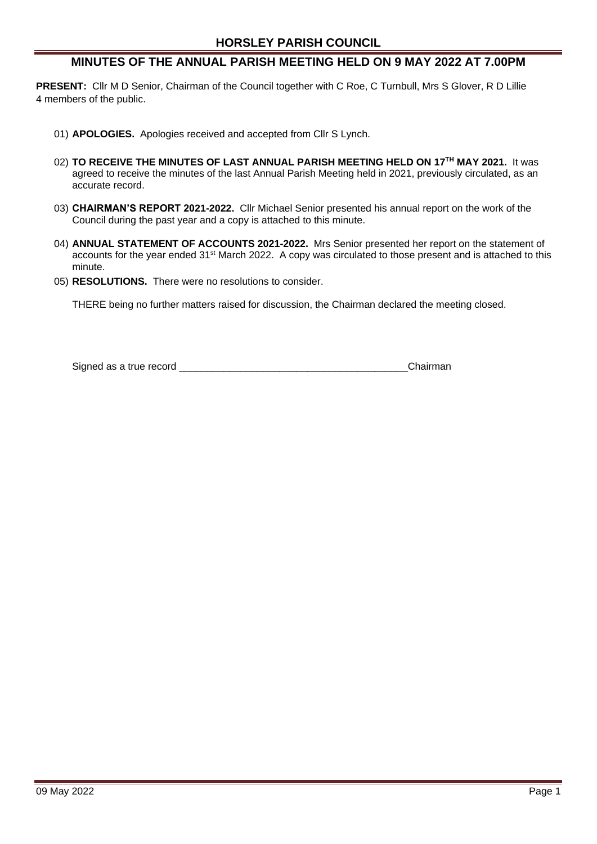# **MINUTES OF THE ANNUAL PARISH MEETING HELD ON 9 MAY 2022 AT 7.00PM**

**PRESENT:** Cllr M D Senior, Chairman of the Council together with C Roe, C Turnbull, Mrs S Glover, R D Lillie 4 members of the public.

- 01) **APOLOGIES.** Apologies received and accepted from Cllr S Lynch.
- 02) **TO RECEIVE THE MINUTES OF LAST ANNUAL PARISH MEETING HELD ON 17TH MAY 2021.** It was agreed to receive the minutes of the last Annual Parish Meeting held in 2021, previously circulated, as an accurate record.
- 03) **CHAIRMAN'S REPORT 2021-2022.** Cllr Michael Senior presented his annual report on the work of the Council during the past year and a copy is attached to this minute.
- 04) **ANNUAL STATEMENT OF ACCOUNTS 2021-2022.** Mrs Senior presented her report on the statement of accounts for the year ended 31<sup>st</sup> March 2022. A copy was circulated to those present and is attached to this minute.
- 05) **RESOLUTIONS.** There were no resolutions to consider.

THERE being no further matters raised for discussion, the Chairman declared the meeting closed.

Signed as a true record **by the set of the set of the set of the Signed as a true record**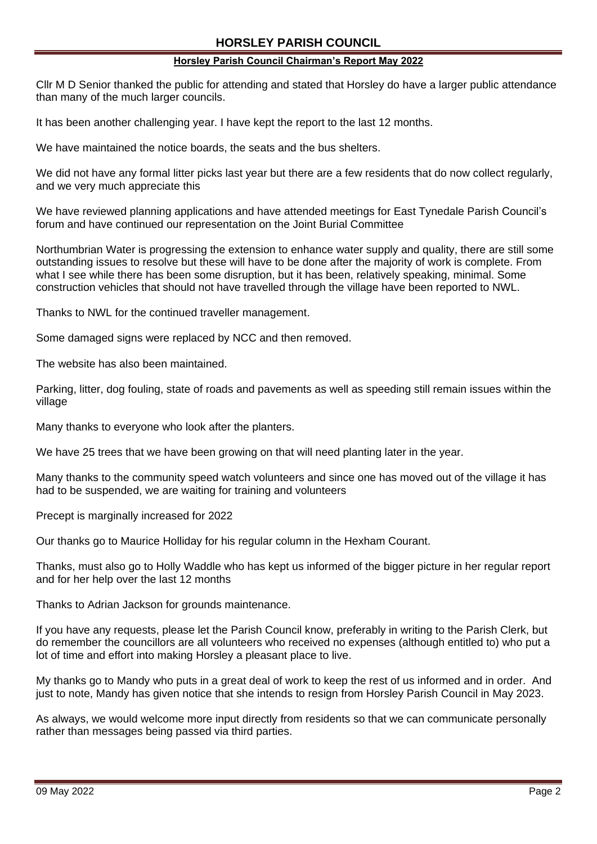## **Horsley Parish Council Chairman's Report May 2022**

Cllr M D Senior thanked the public for attending and stated that Horsley do have a larger public attendance than many of the much larger councils.

It has been another challenging year. I have kept the report to the last 12 months.

We have maintained the notice boards, the seats and the bus shelters.

We did not have any formal litter picks last year but there are a few residents that do now collect regularly, and we very much appreciate this

We have reviewed planning applications and have attended meetings for East Tynedale Parish Council's forum and have continued our representation on the Joint Burial Committee

Northumbrian Water is progressing the extension to enhance water supply and quality, there are still some outstanding issues to resolve but these will have to be done after the majority of work is complete. From what I see while there has been some disruption, but it has been, relatively speaking, minimal. Some construction vehicles that should not have travelled through the village have been reported to NWL.

Thanks to NWL for the continued traveller management.

Some damaged signs were replaced by NCC and then removed.

The website has also been maintained.

Parking, litter, dog fouling, state of roads and pavements as well as speeding still remain issues within the village

Many thanks to everyone who look after the planters.

We have 25 trees that we have been growing on that will need planting later in the year.

Many thanks to the community speed watch volunteers and since one has moved out of the village it has had to be suspended, we are waiting for training and volunteers

Precept is marginally increased for 2022

Our thanks go to Maurice Holliday for his regular column in the Hexham Courant.

Thanks, must also go to Holly Waddle who has kept us informed of the bigger picture in her regular report and for her help over the last 12 months

Thanks to Adrian Jackson for grounds maintenance.

If you have any requests, please let the Parish Council know, preferably in writing to the Parish Clerk, but do remember the councillors are all volunteers who received no expenses (although entitled to) who put a lot of time and effort into making Horsley a pleasant place to live.

My thanks go to Mandy who puts in a great deal of work to keep the rest of us informed and in order. And just to note, Mandy has given notice that she intends to resign from Horsley Parish Council in May 2023.

As always, we would welcome more input directly from residents so that we can communicate personally rather than messages being passed via third parties.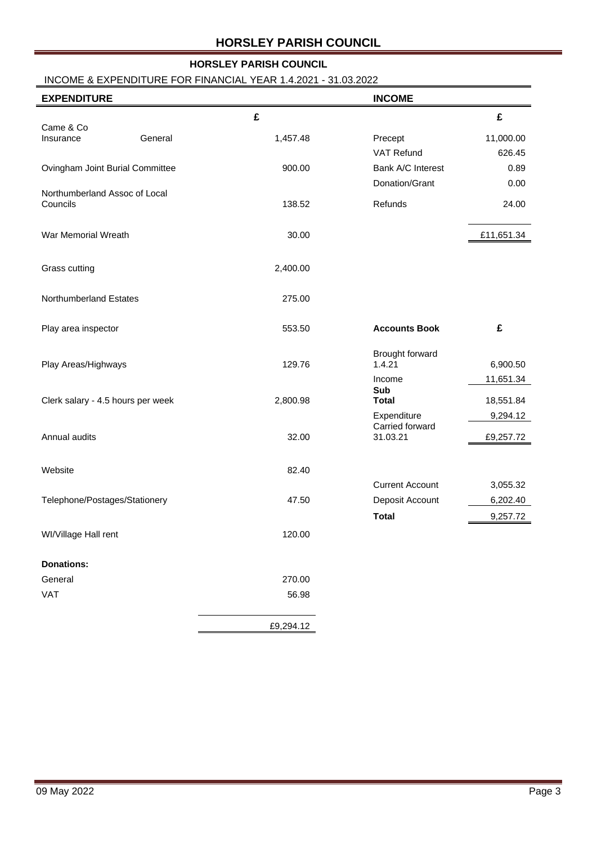# **HORSLEY PARISH COUNCIL**

# INCOME & EXPENDITURE FOR FINANCIAL YEAR 1.4.2021 - 31.03.2022

| <b>EXPENDITURE</b>                        |           | <b>INCOME</b>             |            |
|-------------------------------------------|-----------|---------------------------|------------|
|                                           | £         |                           | £          |
| Came & Co<br>General<br>Insurance         | 1,457.48  | Precept                   | 11,000.00  |
|                                           |           | VAT Refund                | 626.45     |
| Ovingham Joint Burial Committee           | 900.00    | Bank A/C Interest         | 0.89       |
|                                           |           | Donation/Grant            | 0.00       |
| Northumberland Assoc of Local<br>Councils | 138.52    | Refunds                   | 24.00      |
| War Memorial Wreath                       | 30.00     |                           | £11,651.34 |
| Grass cutting                             | 2,400.00  |                           |            |
| Northumberland Estates                    | 275.00    |                           |            |
| Play area inspector                       | 553.50    | <b>Accounts Book</b>      | £          |
| Play Areas/Highways                       | 129.76    | Brought forward<br>1.4.21 | 6,900.50   |
|                                           |           | Income                    | 11,651.34  |
| Clerk salary - 4.5 hours per week         | 2,800.98  | Sub<br><b>Total</b>       | 18,551.84  |
|                                           |           | Expenditure               | 9,294.12   |
|                                           |           | Carried forward           |            |
| Annual audits                             | 32.00     | 31.03.21                  | £9,257.72  |
| Website                                   | 82.40     |                           |            |
|                                           |           | <b>Current Account</b>    | 3,055.32   |
| Telephone/Postages/Stationery             | 47.50     | Deposit Account           | 6,202.40   |
|                                           |           | <b>Total</b>              | 9,257.72   |
| WI/Village Hall rent                      | 120.00    |                           |            |
| <b>Donations:</b>                         |           |                           |            |
| General                                   | 270.00    |                           |            |
| VAT                                       | 56.98     |                           |            |
|                                           | £9,294.12 |                           |            |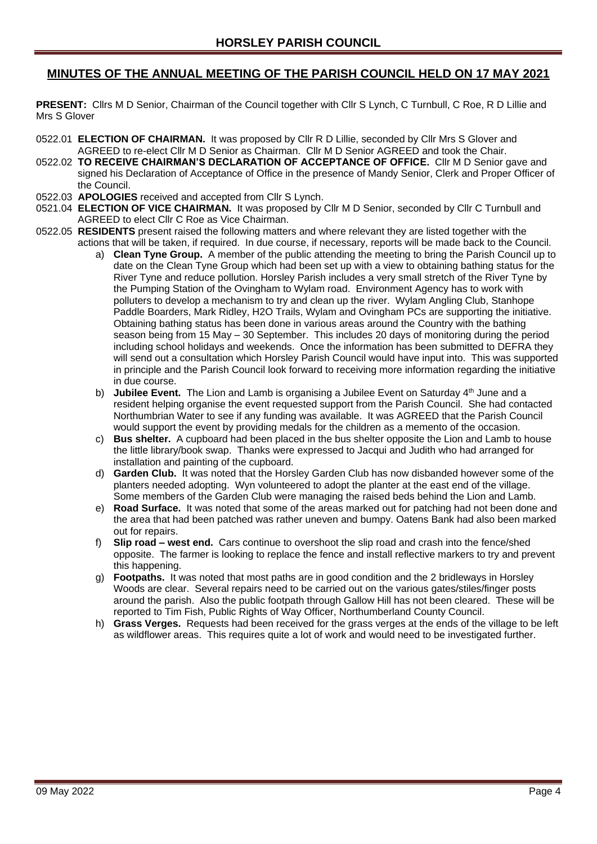# **MINUTES OF THE ANNUAL MEETING OF THE PARISH COUNCIL HELD ON 17 MAY 2021**

**PRESENT:** Cllrs M D Senior, Chairman of the Council together with Cllr S Lynch, C Turnbull, C Roe, R D Lillie and Mrs S Glover

- 0522.01 **ELECTION OF CHAIRMAN.** It was proposed by Cllr R D Lillie, seconded by Cllr Mrs S Glover and AGREED to re-elect Cllr M D Senior as Chairman. Cllr M D Senior AGREED and took the Chair.
- 0522.02 **TO RECEIVE CHAIRMAN'S DECLARATION OF ACCEPTANCE OF OFFICE.** Cllr M D Senior gave and signed his Declaration of Acceptance of Office in the presence of Mandy Senior, Clerk and Proper Officer of the Council.
- 0522.03 **APOLOGIES** received and accepted from Cllr S Lynch.
- 0521.04 **ELECTION OF VICE CHAIRMAN.** It was proposed by Cllr M D Senior, seconded by Cllr C Turnbull and AGREED to elect Cllr C Roe as Vice Chairman.
- 0522.05 **RESIDENTS** present raised the following matters and where relevant they are listed together with the actions that will be taken, if required. In due course, if necessary, reports will be made back to the Council.
	- a) **Clean Tyne Group.** A member of the public attending the meeting to bring the Parish Council up to date on the Clean Tyne Group which had been set up with a view to obtaining bathing status for the River Tyne and reduce pollution. Horsley Parish includes a very small stretch of the River Tyne by the Pumping Station of the Ovingham to Wylam road. Environment Agency has to work with polluters to develop a mechanism to try and clean up the river. Wylam Angling Club, Stanhope Paddle Boarders, Mark Ridley, H2O Trails, Wylam and Ovingham PCs are supporting the initiative. Obtaining bathing status has been done in various areas around the Country with the bathing season being from 15 May – 30 September. This includes 20 days of monitoring during the period including school holidays and weekends. Once the information has been submitted to DEFRA they will send out a consultation which Horsley Parish Council would have input into. This was supported in principle and the Parish Council look forward to receiving more information regarding the initiative in due course.
	- b) **Jubilee Event.** The Lion and Lamb is organising a Jubilee Event on Saturday 4<sup>th</sup> June and a resident helping organise the event requested support from the Parish Council. She had contacted Northumbrian Water to see if any funding was available. It was AGREED that the Parish Council would support the event by providing medals for the children as a memento of the occasion.
	- c) **Bus shelter.** A cupboard had been placed in the bus shelter opposite the Lion and Lamb to house the little library/book swap. Thanks were expressed to Jacqui and Judith who had arranged for installation and painting of the cupboard.
	- d) **Garden Club.** It was noted that the Horsley Garden Club has now disbanded however some of the planters needed adopting. Wyn volunteered to adopt the planter at the east end of the village. Some members of the Garden Club were managing the raised beds behind the Lion and Lamb.
	- e) **Road Surface.** It was noted that some of the areas marked out for patching had not been done and the area that had been patched was rather uneven and bumpy. Oatens Bank had also been marked out for repairs.
	- f) **Slip road – west end.** Cars continue to overshoot the slip road and crash into the fence/shed opposite. The farmer is looking to replace the fence and install reflective markers to try and prevent this happening.
	- g) **Footpaths.** It was noted that most paths are in good condition and the 2 bridleways in Horsley Woods are clear. Several repairs need to be carried out on the various gates/stiles/finger posts around the parish. Also the public footpath through Gallow Hill has not been cleared. These will be reported to Tim Fish, Public Rights of Way Officer, Northumberland County Council.
	- h) **Grass Verges.** Requests had been received for the grass verges at the ends of the village to be left as wildflower areas. This requires quite a lot of work and would need to be investigated further.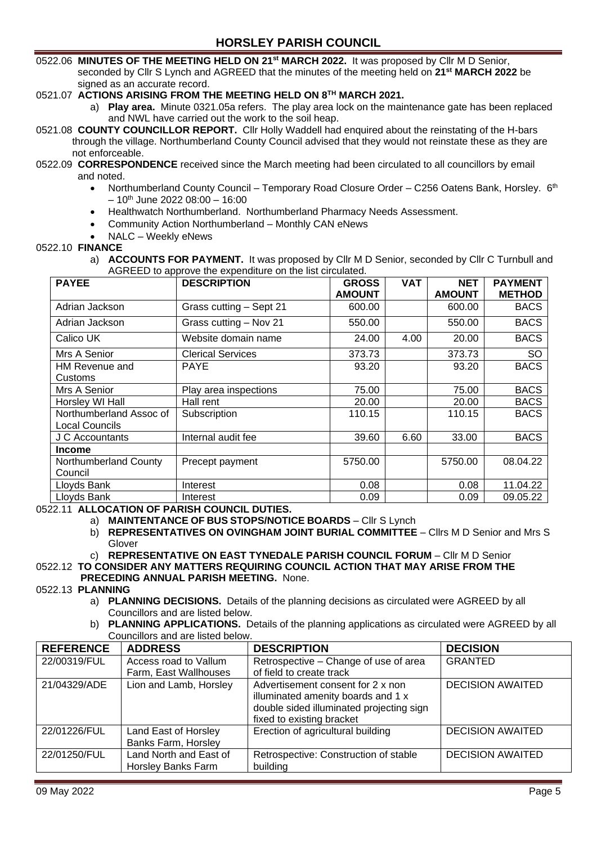0522.06 **MINUTES OF THE MEETING HELD ON 21st MARCH 2022.** It was proposed by Cllr M D Senior, seconded by Cllr S Lynch and AGREED that the minutes of the meeting held on **21st MARCH 2022** be signed as an accurate record.

## 0521.07 **ACTIONS ARISING FROM THE MEETING HELD ON 8 TH MARCH 2021.**

- a) **Play area.** Minute 0321.05a refers. The play area lock on the maintenance gate has been replaced and NWL have carried out the work to the soil heap.
- 0521.08 **COUNTY COUNCILLOR REPORT.** Cllr Holly Waddell had enquired about the reinstating of the H-bars through the village. Northumberland County Council advised that they would not reinstate these as they are not enforceable.

#### 0522.09 **CORRESPONDENCE** received since the March meeting had been circulated to all councillors by email and noted.

- Northumberland County Council Temporary Road Closure Order C256 Oatens Bank, Horsley. 6<sup>th</sup>  $-10^{th}$  June 2022 08:00  $-16:00$
- Healthwatch Northumberland. Northumberland Pharmacy Needs Assessment.
- Community Action Northumberland Monthly CAN eNews
- NALC Weekly eNews

### 0522.10 **FINANCE**

a) **ACCOUNTS FOR PAYMENT.** It was proposed by Cllr M D Senior, seconded by Cllr C Turnbull and AGREED to approve the expenditure on the list circulated.

| <b>PAYEE</b>            | <b>DESCRIPTION</b>       | <b>GROSS</b>  | <b>VAT</b> | <b>NET</b>    | <b>PAYMENT</b> |
|-------------------------|--------------------------|---------------|------------|---------------|----------------|
|                         |                          | <b>AMOUNT</b> |            | <b>AMOUNT</b> | <b>METHOD</b>  |
| Adrian Jackson          | Grass cutting - Sept 21  | 600.00        |            | 600.00        | <b>BACS</b>    |
| Adrian Jackson          | Grass cutting - Nov 21   | 550.00        |            | 550.00        | <b>BACS</b>    |
| Calico UK               | Website domain name      | 4.00<br>24.00 |            | 20.00         | <b>BACS</b>    |
| Mrs A Senior            | <b>Clerical Services</b> | 373.73        |            | 373.73        | <b>SO</b>      |
| HM Revenue and          | <b>PAYE</b>              | 93.20         |            | 93.20         | <b>BACS</b>    |
| Customs                 |                          |               |            |               |                |
| Mrs A Senior            | Play area inspections    | 75.00         |            | 75.00         | <b>BACS</b>    |
| Horsley WI Hall         | Hall rent                | 20.00         |            | 20.00         | <b>BACS</b>    |
| Northumberland Assoc of | Subscription             | 110.15        |            | 110.15        | <b>BACS</b>    |
| Local Councils          |                          |               |            |               |                |
| J C Accountants         | Internal audit fee       | 39.60         | 6.60       | 33.00         | <b>BACS</b>    |
| <b>Income</b>           |                          |               |            |               |                |
| Northumberland County   | Precept payment          | 5750.00       |            | 5750.00       | 08.04.22       |
| Council                 |                          |               |            |               |                |
| Lloyds Bank             | Interest                 | 0.08          |            | 0.08          | 11.04.22       |
| Lloyds Bank             | Interest                 | 0.09          |            | 0.09          | 09.05.22       |

0522.11 **ALLOCATION OF PARISH COUNCIL DUTIES.**

a) **MAINTENTANCE OF BUS STOPS/NOTICE BOARDS** – Cllr S Lynch

b) **REPRESENTATIVES ON OVINGHAM JOINT BURIAL COMMITTEE** – Cllrs M D Senior and Mrs S Glover

c) **REPRESENTATIVE ON EAST TYNEDALE PARISH COUNCIL FORUM** – Cllr M D Senior

#### 0522.12 **TO CONSIDER ANY MATTERS REQUIRING COUNCIL ACTION THAT MAY ARISE FROM THE PRECEDING ANNUAL PARISH MEETING.** None.

#### 0522.13 **PLANNING**

a) **PLANNING DECISIONS.** Details of the planning decisions as circulated were AGREED by all Councillors and are listed below.

b) **PLANNING APPLICATIONS.** Details of the planning applications as circulated were AGREED by all Councillors and are listed below.

| <b>REFERENCE</b> | <b>ADDRESS</b>         | <b>DESCRIPTION</b>                                                                                                  | <b>DECISION</b>         |
|------------------|------------------------|---------------------------------------------------------------------------------------------------------------------|-------------------------|
| 22/00319/FUL     | Access road to Vallum  | Retrospective - Change of use of area                                                                               | <b>GRANTED</b>          |
|                  | Farm, East Wallhouses  | of field to create track                                                                                            |                         |
| 21/04329/ADE     | Lion and Lamb, Horsley | Advertisement consent for 2 x non<br>illuminated amenity boards and 1 x<br>double sided illuminated projecting sign | <b>DECISION AWAITED</b> |
|                  |                        | fixed to existing bracket                                                                                           |                         |
| 22/01226/FUL     | Land East of Horsley   | Erection of agricultural building                                                                                   | <b>DECISION AWAITED</b> |
|                  | Banks Farm, Horsley    |                                                                                                                     |                         |
| 22/01250/FUL     | Land North and East of | Retrospective: Construction of stable                                                                               | <b>DECISION AWAITED</b> |
|                  | Horsley Banks Farm     | building                                                                                                            |                         |